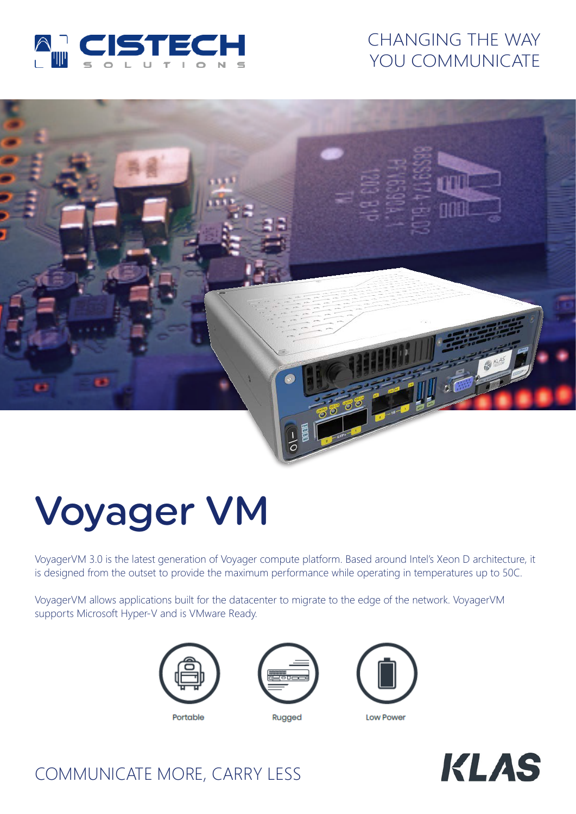

## CHANGING THE WAY YOU COMMUNICATE



# Voyager VM

VoyagerVM 3.0 is the latest generation of Voyager compute platform. Based around Intel's Xeon D architecture, it is designed from the outset to provide the maximum performance while operating in temperatures up to 50C.

VoyagerVM allows applications built for the datacenter to migrate to the edge of the network. VoyagerVM supports Microsoft Hyper-V and is VMware Ready.





Rugged



**KLAS** 

# COMMUNICATE MORE, CARRY LESS